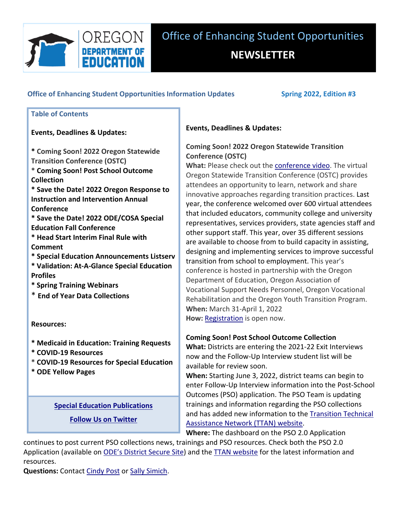

# $\blacksquare$   **Office** of **Enhancing** Student **Opportunities** Information Updates **Spring** 2022, Edition **#3**

### **Table of Contents**

### **Events, Deadlines & Updates:**

 **\* Coming Soon! 2022 Oregon Statewide Transition Conference (OSTC) \* Coming Soon! Post School Outcome Collection**

 **\* Save the Date! 2022 Oregon Response to Instruction and Intervention Annual Conference**

 **\* Save the Date! 2022 ODE/COSA Special Education Fall Conference**

 **\* Head Start Interim Final Rule with Comment**

 **\* Special Education Announcements Listserv**

 **\* Validation: At‐A‐Glance Special Education Profiles**

 **\* Spring Training Webinars**

 \* **End of Year Data Collections**

**Resources:**

- **\* Medicaid in Education: Training Requests**
- **\* COVID‐19 Resources**
- **\* COVID‐19 Resources for Special Education**

 **\* ODE Yellow Pages**

 **Special Education [Publications](https://www.oregon.gov/ode/students-and-family/SpecialEducation/publications/Pages/default.aspx)**

 **Follow Us on [Twitter](http://www.twitter.com/ORDeptEd)**

## **Events, Deadlines & Updates:**

# **Coming Soon! 2022 Oregon Statewide Transition Conference (OSTC)**

 **What:** Please check out the [conference](https://youtu.be/zz_1sazRh_k) video. The virtual Oregon Statewide Transition Conference (OSTC) provides attendees an opportunity to learn, network and share innovative approaches regarding transition practices. Last year, the conference welcomed over 600 virtual attendees that included educators, community college and university representatives, services providers, state agencies staff and other support staff. This year, over 35 different sessions are available to choose from to build capacity in assisting, designing and implementing services to improve successful transition from school to employment. This year's conference is hosted in partnership with the Oregon Department of Education, Oregon Association of Vocational Support Needs Personnel, Oregon Vocational Rehabilitation and the Oregon Youth Transition Program. **When:** March 31‐April 1, 2022 **How: [Registration](https://www.eventsquid.com/event.cfm?id=13817)** is open now.

### **Coming Soon! Post School Outcome Collection**

 **What:** Districts are entering the 2021‐22 Exit Interviews now and the Follow‐Up Interview student list will be available for review soon.

 **When:** Starting June 3, 2022, district teams can begin to enter Follow‐Up Interview information into the Post‐School Outcomes (PSO) application. The PSO Team is updating trainings and information regarding the PSO collections and has added new information to the Transition Technical  Aassistance Network (TTAN) website.

**Where:** The dashboard on the PSO 2.0 Application

 continues to post current PSO collections news, trainings and PSO resources. Check both the PSO 2.0 Application (available on ODE's District Secure Site) and the TTAN [website](https://transitionoregon.org/) for the latest information and resources.

**Questions:** Contact [Cindy](mailto:cpost3@uoregon.edu) Post or Sally [Simich](mailto:sally.simich@ode.oregon.gov).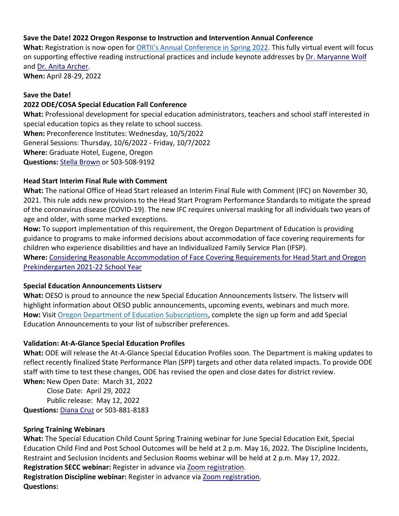### **Save the Date! 2022 Oregon Response to Instruction and Intervention Annual Conference**

  **What:** Registration is now open for ORTIi's Annual Conference in Spring 2022. This fully virtual event will focus on supporting effective reading instructional practices and include keynote addresses by Dr. Maryanne Wolf and <u>Dr. Anita [Archer](https://explicitinstruction.org/video-elementary/elementary-video-3/)</u>.

**When:** April 28‐29, 2022

#### **Save the Date!**

### **2022 ODE/COSA Special Education Fall Conference**

 **What:** Professional development for special education administrators, teachers and school staff interested in special education topics as they relate to school success.

 **When:** Preconference Institutes: Wednesday, 10/5/2022 General Sessions: Thursday, 10/6/2022 ‐ Friday, 10/7/2022 **Where:** Graduate Hotel, Eugene, Oregon **Questions:** Stella [Brown](mailto:stella.brown@state.or.us) or 503‐508‐9192

#### **Head Start Interim Final Rule with Comment**

 **What:** The national Office of Head Start released an Interim Final Rule with Comment (IFC) on November 30, 2021. This rule adds new provisions to the Head Start Program Performance Standards to mitigate the spread of the coronavirus disease (COVID‐19). The new IFC requires universal masking for all individuals two years of age and older, with some marked exceptions.

 **How:** To support implementation of this requirement, the Oregon Department of Education is providing guidance to programs to make informed decisions about accommodation of face covering requirements for children who experience disabilities and have an Individualized Family Service Plan (IFSP).  **Where:** Considering Reasonable Accommodation of Face Covering Requirements for Head Start and Oregon

 Prekindergarten 2021‐22 School Year

#### **Special Education Announcements Listserv**

 **What:** OESO is proud to announce the new Special Education Announcements listserv. The listserv will highlight information about OESO public announcements, upcoming events, webinars and much more.  **How:** Visit Oregon Department of Education Subscriptions, complete the sign up form and add Special Education Announcements to your list of subscriber preferences.

### **Validation: At‐A‐Glance Special Education Profiles**

 **What:** ODE will release the At‐A‐Glance Special Education Profiles soon. The Department is making updates to reflect recently finalized State Performance Plan (SPP) targets and other data related impacts. To provide ODE staff with time to test these changes, ODE has revised the open and close dates for district review.

 **When:** New Open Date: March 31, 2022 Close Date: April 29, 2022 Public release: May 12, 2022 **Questions:** [Diana](mailto:diana.cruz@ode.oregon.gov) Cruz or 503‐881‐8183

#### **Spring Training Webinars**

 **What:** The Special Education Child Count Spring Training webinar for June Special Education Exit, Special Education Child Find and Post School Outcomes will be held at 2 p.m. May 16, 2022. The Discipline Incidents, Restraint and Seclusion Incidents and Seclusion Rooms webinar will be held at 2 p.m. May 17, 2022.

 **Registration SECC webinar:** Register in advance via Zoom [registration.](https://www.zoomgov.com/meeting/register/vJItf-CopjsuEy-0Ue5LD7gfkGw6i7k_bJA)

 **Registration Discipline webinar:** Register in advance via Zoom [registration.](https://www.zoomgov.com/meeting/register/vJItdeuqrjIrGOEpPdp4fhjB_K9yGu5kBbw) **Questions:**